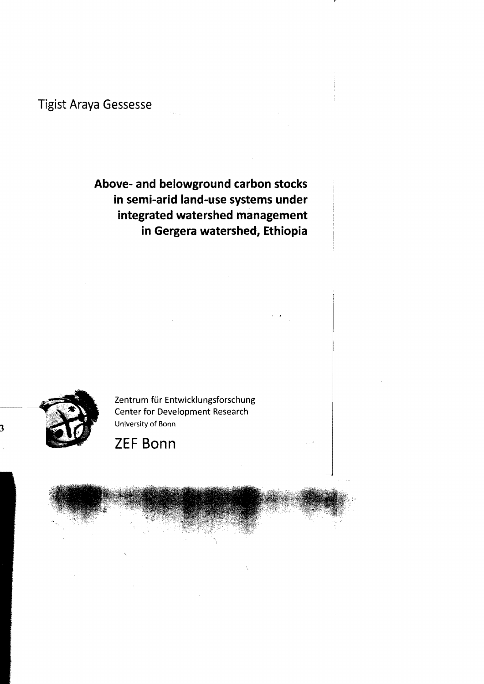**Tigist Araya Gessesse** 

## **Above- and belowground carbon stocks in semi-arid land-use systems under integrated watershed management in Gergera watershed, Ethiopia**



Zentrum für Entwicklungsforschung Center for Development Research University af Bann

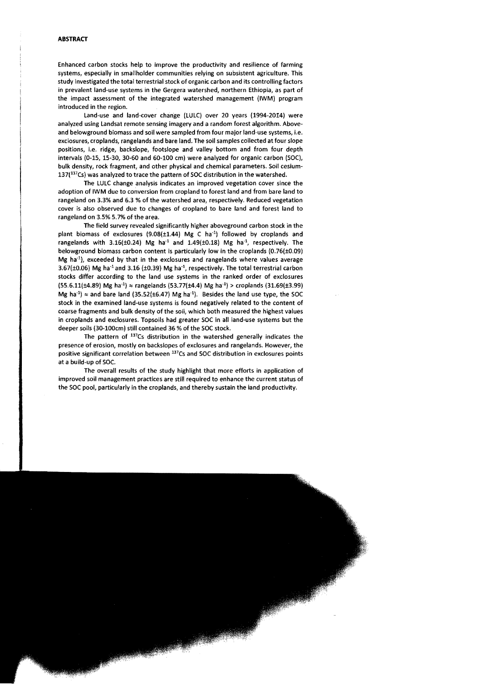## **ABSTRACT**

Enhanced carbon stocks help to improve the productivity and resilience of farming systems, especially in smallholder communities relying on subsistent agriculture. This study investigated the total terrestrial stock of organic carbon and its controlling factors in prevalent land-use systems in the Gergera watershed, northern Ethiopia, as part of the impact assessment of the integrated watershed management (IWM) program introduced in the region.

land-use and land-cover change (lUlC) over 20 years (1994-2014) were analyzed using landsat remote sensing imagery and a random forest algorithm. Aboveand belowground biomass and soil were sampled from four major land-use systems, i.e. exclosures, croplands, rangelands and bare land. The soil sampies COllected at four slope positions, i.e. ridge, backslope, footslope and valley bottom and from four depth intervals (0-15, 15-30, 30-60 and 60-100 cm) were analyzed for organic carbon (SOC), bulk density, rock fragment, and other physical and chemical parameters. Soil cesium-137(137CS) was analyzed to trace the pattern of SOC distribution in the watershed.

The lUlC change analysis indicates an improved vegetation cover since the adoption of IWM due to conversion from cropland to forest land and from bare land to rangeland on 3.3% and 6.3 % of the watershed area, respectively. Reduced vegetation cover is also observed due to changes of cropland to bare land and forest land to rangeland on 3.5% 5.7% of the area.

The field survey revealed significantly higher aboveground carbon stock in the plant biomass of exclosures  $(9.08(\pm 1.44)$  Mg C ha<sup>-1</sup>) followed by croplands and rangelands with  $3.16(\pm 0.24)$  Mg ha<sup>-1</sup> and  $1.49(\pm 0.18)$  Mg ha<sup>-1</sup>, respectively. The belowground biomass carbon content is particularly low in the croplands (0.76(±0.09) Mg ha<sup>-1</sup>), exceeded by that in the exclosures and rangelands where values average  $3.67(\pm0.06)$  Mg ha<sup>-1</sup> and 3.16 ( $\pm0.39$ ) Mg ha<sup>-1</sup>, respectively. The total terrestrial carbon stocks differ according to the land use systems in the ranked order of exclosures  $(55.6.11(\pm 4.89) \text{ Mg} \text{ ha}^{-1}) \approx \text{rangelands } (53.77(\pm 4.4) \text{ Mg} \text{ ha}^{-1}) > \text{croplands } (31.69(\pm 3.99)$ Mg ha<sup>-1</sup>)  $\approx$  and bare land (35.52(±6.47) Mg ha<sup>-1</sup>). Besides the land use type, the SOC stock in the examined land-use systems is found negatively related to the content of coarse fragments and bulk density of the soil, which both measured the highest values in croplands and exclosures. Topsoils had greater SOC in aliland-use systems but the deeper soils (30-100cm) still contained 36 % of the SOC stock.

The pattern of  $137Cs$  distribution in the watershed generally indicates the presence of erosion, mostly on backslopes of exclosures and rangelands. However, the positive significant correlation between <sup>137</sup>Cs and SOC distribution in exclosures points at a build-up of SOc.

The overall results of the study highlight that more efforts in application of impraved soil management practices are still required to enhance the current status of the SOC pool, particularly in the croplands, and thereby sustain the land productivity.